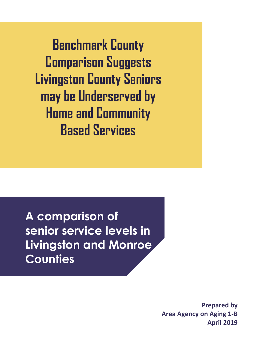**Benchmark County Comparison Suggests Livingston County Seniors may be Underserved by Home and Community Based Services**

**A comparison of senior service levels in Livingston and Monroe Counties**

> **Prepared by Area Agency on Aging 1-B April 2019**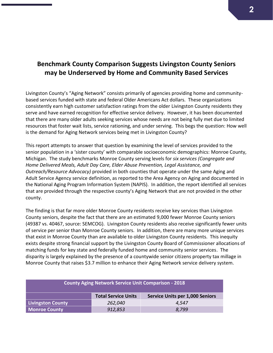## **Benchmark County Comparison Suggests Livingston County Seniors may be Underserved by Home and Community Based Services**

Livingston County's "Aging Network" consists primarily of agencies providing home and communitybased services funded with state and federal Older Americans Act dollars. These organizations consistently earn high customer satisfaction ratings from the older Livingston County residents they serve and have earned recognition for effective service delivery. However, it has been documented that there are many older adults seeking services whose needs are not being fully met due to limited resources that foster wait lists, service rationing, and under serving. This begs the question: How well is the demand for Aging Network services being met in Livingston County?

This report attempts to answer that question by examining the level of services provided to the senior population in a 'sister county' with comparable socioeconomic demographics: Monroe County, Michigan. The study benchmarks Monroe County serving levels for *six services (Congregate and Home Delivered Meals, Adult Day Care, Elder Abuse Prevention, Legal Assistance, and Outreach/Resource Advocacy)* provided in both counties that operate under the same Aging and Adult Service Agency service definition, as reported to the Area Agency on Aging and documented in the National Aging Program Information System (NAPIS). In addition, the report identified all services that are provided through the respective county's Aging Network that are not provided in the other county.

The finding is that far more older Monroe County residents receive key services than Livingston County seniors, despite the fact that there are an estimated 9,000 fewer Monroe County seniors (49387 vs. 40467, source: SEMCOG). Livingston County residents also receive significantly fewer units of service per senior than Monroe County seniors. In addition, there are many more unique services that exist in Monroe County than are available to older Livingston County residents. This inequity exists despite strong financial support by the Livingston County Board of Commissioner allocations of matching funds for key state and federally funded home and community senior services. The disparity is largely explained by the presence of a countywide senior citizens property tax millage in Monroe County that raises \$3.7 million to enhance their Aging Network service delivery system.

| <b>County Aging Network Service Unit Comparison - 2018</b> |                            |                                        |  |  |  |  |  |  |
|------------------------------------------------------------|----------------------------|----------------------------------------|--|--|--|--|--|--|
|                                                            | <b>Total Service Units</b> | <b>Service Units per 1,000 Seniors</b> |  |  |  |  |  |  |
| <b>Livingston County</b>                                   | 262,040                    | 4.547                                  |  |  |  |  |  |  |
| <b>Monroe County</b><br>912,853<br>8.799                   |                            |                                        |  |  |  |  |  |  |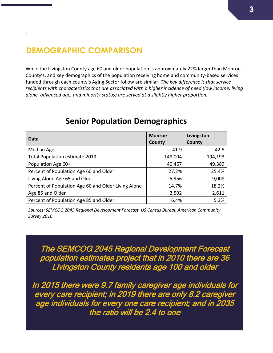# **DEMOGRAPHIC COMPARISON**

`

While the Livingston County age 60 and older population is approximately 22% larger than Monroe County's, and key demographics of the population receiving home and community-based services funded through each county's Aging Sector follow are similar. *The key difference is that service recipients with characteristics that are associated with a higher incidence of need (low income, living alone, advanced age, and minority status) are served at a slightly higher proportion.*

| <b>Senior Population Demographics</b>                                                  |               |            |  |  |  |  |  |  |  |  |
|----------------------------------------------------------------------------------------|---------------|------------|--|--|--|--|--|--|--|--|
| Data                                                                                   | <b>Monroe</b> | Livingston |  |  |  |  |  |  |  |  |
|                                                                                        | County        | County     |  |  |  |  |  |  |  |  |
| Median Age                                                                             | 41.9          | 42.5       |  |  |  |  |  |  |  |  |
| <b>Total Population estimate 2019</b>                                                  | 149,004       | 194,193    |  |  |  |  |  |  |  |  |
| Population Age 60+                                                                     | 40,467        | 49,389     |  |  |  |  |  |  |  |  |
| Percent of Population Age 60 and Older                                                 | 27.2%         | 25.4%      |  |  |  |  |  |  |  |  |
| Living Alone Age 65 and Older                                                          | 5,956         | 9,008      |  |  |  |  |  |  |  |  |
| Percent of Population Age 60 and Older Living Alone                                    | 14.7%         | 18.2%      |  |  |  |  |  |  |  |  |
| Age 85 and Older                                                                       | 2,592         | 2,611      |  |  |  |  |  |  |  |  |
| Percent of Population Age 85 and Older                                                 | 6.4%          | 5.3%       |  |  |  |  |  |  |  |  |
| Courses CEMCOC 2015 Bostonal Douglangeart Forecard UC Concus Dureau American Community |               |            |  |  |  |  |  |  |  |  |

*Sources: SEMCOG 2045 Regional Development Forecast, US Census Bureau American Community Survey 2016*

The SEMCOG 2045 Regional Development Forecast population estimates project that in 2010 there are 36 Livingston County residents age 100 and older

In 2015 there were 9.7 family caregiver age individuals for every care recipient; in 2019 there are only 8.2 caregiver age individuals for every one care recipient; and in 2035 the ratio will be 2.4 to one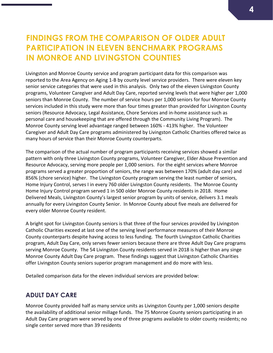# **FINDINGS FROM THE COMPARISON OF OLDER ADULT PARTICIPATION IN ELEVEN BENCHMARK PROGRAMS IN MONROE AND LIVINGSTON COUNTIES**

Livingston and Monroe County service and program participant data for this comparison was reported to the Area Agency on Aging 1-B by county level service providers. There were eleven key senior service categories that were used in this analysis. Only two of the eleven Livingston County programs, Volunteer Caregiver and Adult Day Care, reported serving levels that were higher per 1,000 seniors than Monroe County. The number of service hours per 1,000 seniors for four Monroe County services included in this study were more than four times greater than provided for Livingston County seniors (Resource Advocacy, Legal Assistance, Chore Services and in-home assistance such as personal care and housekeeping that are offered through the Community Living Program). The Monroe County serving level advantage ranged between 160% - 413% higher. The Volunteer Caregiver and Adult Day Care programs administered by Livingston Catholic Charities offered twice as many hours of service than their Monroe County counterparts.

The comparison of the actual number of program participants receiving services showed a similar pattern with only three Livingston County programs, Volunteer Caregiver, Elder Abuse Prevention and Resource Advocacy, serving more people per 1,000 seniors. For the eight services where Monroe programs served a greater proportion of seniors, the range was between 170% (adult day care) and 856% (chore service) higher. The Livingston County program serving the least number of seniors, Home Injury Control, serves I in every 760 older Livingston County residents. The Monroe County Home Injury Control program served 1 in 500 older Monroe County residents in 2018. Home Delivered Meals, Livingston County's largest senior program by units of service, delivers 3.1 meals annually for every Livingston County Senior. In Monroe County about five meals are delivered for every older Monroe County resident.

A bright spot for Livingston County seniors is that three of the four services provided by Livingston Catholic Charities exceed at last one of the serving level performance measures of their Monroe County counterparts despite having access to less funding. The fourth Livingston Catholic Charities program, Adult Day Care, only serves fewer seniors because there are three Adult Day Care programs serving Monroe County. The 54 Livingston County residents served in 2018 is higher than any singe Monroe County Adult Day Care program. These findings suggest that Livingston Catholic Charities offer Livingston County seniors superior program management and do more with less.

Detailed comparison data for the eleven individual services are provided below:

#### **ADULT DAY CARE**

Monroe County provided half as many service units as Livingston County per 1,000 seniors despite the availability of additional senior millage funds. The 75 Monroe County seniors participating in an Adult Day Care program were served by one of three programs available to older county residents; no single center served more than 39 residents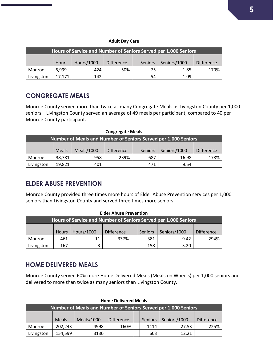| <b>Adult Day Care</b>                                           |              |            |                   |  |                |              |                   |  |  |
|-----------------------------------------------------------------|--------------|------------|-------------------|--|----------------|--------------|-------------------|--|--|
| Hours of Service and Number of Seniors Served per 1,000 Seniors |              |            |                   |  |                |              |                   |  |  |
|                                                                 | <b>Hours</b> | Hours/1000 | <b>Difference</b> |  | <b>Seniors</b> | Seniors/1000 | <b>Difference</b> |  |  |
| Monroe                                                          | 6,999        | 424        | 50%               |  | 75             | 1.85         | 170%              |  |  |
| Livingston                                                      | 17,171       | 142        |                   |  | 54             | 1.09         |                   |  |  |

### **CONGREGATE MEALS**

Monroe County served more than twice as many Congregate Meals as Livingston County per 1,000 seniors. Livingston County served an average of 49 meals per participant, compared to 40 per Monroe County participant.

| <b>Congregate Meals</b>                                        |              |            |                   |  |         |              |                   |  |  |
|----------------------------------------------------------------|--------------|------------|-------------------|--|---------|--------------|-------------------|--|--|
| Number of Meals and Number of Seniors Served per 1,000 Seniors |              |            |                   |  |         |              |                   |  |  |
|                                                                | <b>Meals</b> | Meals/1000 | <b>Difference</b> |  | Seniors | Seniors/1000 | <b>Difference</b> |  |  |
| Monroe                                                         | 38,781       | 958        | 239%              |  | 687     | 16.98        | 178%              |  |  |
| Livingston                                                     | 19,821       | 401        |                   |  | 471     | 9.54         |                   |  |  |

### **ELDER ABUSE PREVENTION**

Monroe County provided three times more hours of Elder Abuse Prevention services per 1,000 seniors than Livingston County and served three times more seniors.

|                                                                 | <b>Elder Abuse Prevention</b> |                   |                   |  |         |              |                   |  |  |  |
|-----------------------------------------------------------------|-------------------------------|-------------------|-------------------|--|---------|--------------|-------------------|--|--|--|
| Hours of Service and Number of Seniors Served per 1,000 Seniors |                               |                   |                   |  |         |              |                   |  |  |  |
|                                                                 | <b>Hours</b>                  | <b>Hours/1000</b> | <b>Difference</b> |  | Seniors | Seniors/1000 | <b>Difference</b> |  |  |  |
|                                                                 |                               |                   |                   |  |         |              |                   |  |  |  |
| Monroe                                                          | 461                           | 11                | 337%              |  | 381     | 9.42         | 294%              |  |  |  |
| Livingston                                                      | 167                           | 3                 |                   |  | 158     | 3.20         |                   |  |  |  |

#### **HOME DELIVERED MEALS**

Monroe County served 60% more Home Delivered Meals (Meals on Wheels) per 1,000 seniors and delivered to more than twice as many seniors than Livingston County.

|                                                                | <b>Home Delivered Meals</b> |            |                   |  |         |              |                   |  |  |  |  |
|----------------------------------------------------------------|-----------------------------|------------|-------------------|--|---------|--------------|-------------------|--|--|--|--|
| Number of Meals and Number of Seniors Served per 1,000 Seniors |                             |            |                   |  |         |              |                   |  |  |  |  |
|                                                                | <b>Meals</b>                | Meals/1000 | <b>Difference</b> |  | Seniors | Seniors/1000 | <b>Difference</b> |  |  |  |  |
| Monroe                                                         | 202,243                     | 4998       | 160%              |  | 1114    | 27.53        | 225%              |  |  |  |  |
| Livingston                                                     | 154,599                     | 3130       |                   |  | 603     | 12.21        |                   |  |  |  |  |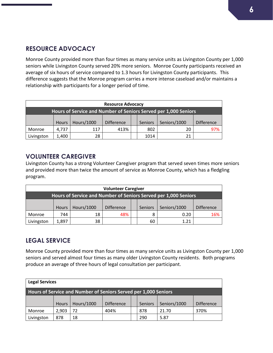## **RESOURCE ADVOCACY**

Monroe County provided more than four times as many service units as Livingston County per 1,000 seniors while Livingston County served 20% more seniors. Monroe County participants received an average of six hours of service compared to 1.3 hours for Livingston County participants. This difference suggests that the Monroe program carries a more intense caseload and/or maintains a relationship with participants for a longer period of time.

|                                                                 | <b>Resource Advocacy</b> |            |                   |  |         |              |                   |  |  |  |
|-----------------------------------------------------------------|--------------------------|------------|-------------------|--|---------|--------------|-------------------|--|--|--|
| Hours of Service and Number of Seniors Served per 1,000 Seniors |                          |            |                   |  |         |              |                   |  |  |  |
|                                                                 | <b>Hours</b>             | Hours/1000 | <b>Difference</b> |  | Seniors | Seniors/1000 | <b>Difference</b> |  |  |  |
| Monroe                                                          | 4.737                    | 117        | 413%              |  | 802     | 20           | 97%               |  |  |  |
| Livingston                                                      | 1,400                    | 28         |                   |  | 1014    | 21           |                   |  |  |  |

#### **VOLUNTEER CAREGIVER**

Livingston County has a strong Volunteer Caregiver program that served seven times more seniors and provided more than twice the amount of service as Monroe County, which has a fledgling program.

|                                                                 | <b>Volunteer Caregiver</b>                                                        |    |     |  |    |                   |     |  |  |  |
|-----------------------------------------------------------------|-----------------------------------------------------------------------------------|----|-----|--|----|-------------------|-----|--|--|--|
| Hours of Service and Number of Seniors Served per 1,000 Seniors |                                                                                   |    |     |  |    |                   |     |  |  |  |
|                                                                 | <b>Hours/1000</b><br>Seniors/1000<br><b>Difference</b><br>Seniors<br><b>Hours</b> |    |     |  |    | <b>Difference</b> |     |  |  |  |
| Monroe                                                          | 744                                                                               | 18 | 48% |  | 8  | 0.20              | 16% |  |  |  |
| Livingston                                                      | 1,897                                                                             | 38 |     |  | 60 | 1 21              |     |  |  |  |

### **LEGAL SERVICE**

Monroe County provided more than four times as many service units as Livingston County per 1,000 seniors and served almost four times as many older Livingston County residents. Both programs produce an average of three hours of legal consultation per participant.

| <b>Legal Services</b>                                           |              |                   |                   |  |         |              |                   |  |  |
|-----------------------------------------------------------------|--------------|-------------------|-------------------|--|---------|--------------|-------------------|--|--|
| Hours of Service and Number of Seniors Served per 1,000 Seniors |              |                   |                   |  |         |              |                   |  |  |
|                                                                 | <b>Hours</b> | <b>Hours/1000</b> | <b>Difference</b> |  | Seniors | Seniors/1000 | <b>Difference</b> |  |  |
| Monroe                                                          | 2,903        | 72                | 404%              |  | 878     | 21.70        | 370%              |  |  |
| Livingston                                                      | 878          | 18                |                   |  | 290     | 5.87         |                   |  |  |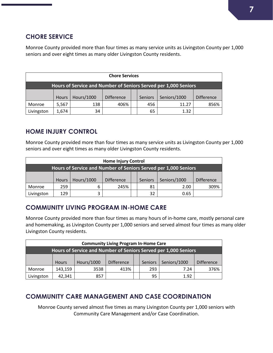## **CHORE SERVICE**

Monroe County provided more than four times as many service units as Livingston County per 1,000 seniors and over eight times as many older Livingston County residents.

|                                                                 | <b>Chore Services</b> |            |                   |  |                |              |                   |  |  |  |
|-----------------------------------------------------------------|-----------------------|------------|-------------------|--|----------------|--------------|-------------------|--|--|--|
| Hours of Service and Number of Seniors Served per 1,000 Seniors |                       |            |                   |  |                |              |                   |  |  |  |
|                                                                 | <b>Hours</b>          | Hours/1000 | <b>Difference</b> |  | <b>Seniors</b> | Seniors/1000 | <b>Difference</b> |  |  |  |
| Monroe                                                          | 5,567                 | 138        | 406%              |  | 456            | 11.27        | 856%              |  |  |  |
| Livingston                                                      | 1.674                 | 34         |                   |  | 65             | 1.32         |                   |  |  |  |

## **HOME INJURY CONTROL**

Monroe County provided more than four times as many service units as Livingston County per 1,000 seniors and over eight times as many older Livingston County residents.

|                                                                 | <b>Home Injury Control</b> |            |                   |  |                |              |                   |  |  |  |
|-----------------------------------------------------------------|----------------------------|------------|-------------------|--|----------------|--------------|-------------------|--|--|--|
| Hours of Service and Number of Seniors Served per 1,000 Seniors |                            |            |                   |  |                |              |                   |  |  |  |
|                                                                 | <b>Hours</b>               | Hours/1000 | <b>Difference</b> |  | <b>Seniors</b> | Seniors/1000 | <b>Difference</b> |  |  |  |
| Monroe                                                          | 259                        | 6          | 245%              |  | 81             | 2.00         | 309%              |  |  |  |
| Livingston                                                      | 129                        | 3          |                   |  | 32             | 0.65         |                   |  |  |  |

## **COMMUNITY LIVING PROGRAM IN-HOME CARE**

Monroe County provided more than four times as many hours of in-home care, mostly personal care and homemaking, as Livingston County per 1,000 seniors and served almost four times as many older Livingston County residents.

|                                                                 | <b>Community Living Program In-Home Care</b> |            |                   |  |         |              |                   |  |  |  |
|-----------------------------------------------------------------|----------------------------------------------|------------|-------------------|--|---------|--------------|-------------------|--|--|--|
| Hours of Service and Number of Seniors Served per 1,000 Seniors |                                              |            |                   |  |         |              |                   |  |  |  |
|                                                                 | <b>Hours</b>                                 | Hours/1000 | <b>Difference</b> |  | Seniors | Seniors/1000 | <b>Difference</b> |  |  |  |
| Monroe                                                          | 143,159                                      | 3538       | 413%              |  | 293     | 7.24         | 376%              |  |  |  |
| Livingston                                                      | 42,341                                       | 857        |                   |  | 95      | 1.92         |                   |  |  |  |

## **COMMUNITY CARE MANAGEMENT AND CASE COORDINATION**

Monroe County served almost five times as many Livingston County per 1,000 seniors with Community Care Management and/or Case Coordination.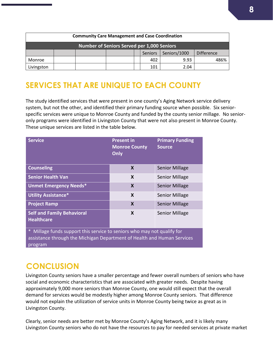| <b>Community Care Management and Case Coordination</b> |  |  |  |  |                |              |                   |  |
|--------------------------------------------------------|--|--|--|--|----------------|--------------|-------------------|--|
| Number of Seniors Served per 1,000 Seniors             |  |  |  |  |                |              |                   |  |
|                                                        |  |  |  |  | <b>Seniors</b> | Seniors/1000 | <b>Difference</b> |  |
| Monroe                                                 |  |  |  |  | 402            | 9.93         | 186%              |  |
| Livingston                                             |  |  |  |  | 101            | 2.04         |                   |  |

# **SERVICES THAT ARE UNIQUE TO EACH COUNTY**

The study identified services that were present in one county's Aging Network service delivery system, but not the other, and identified their primary funding source when possible. Six seniorspecific services were unique to Monroe County and funded by the county senior millage. No senioronly programs were identified in Livingston County that were not also present in Monroe County. These unique services are listed in the table below.

| <b>Service</b>                                                                                                                                                                                                                                                                                                    | <b>Present in</b><br><b>Monroe County</b><br>Only | <b>Primary Funding</b><br><b>Source</b> |  |  |  |
|-------------------------------------------------------------------------------------------------------------------------------------------------------------------------------------------------------------------------------------------------------------------------------------------------------------------|---------------------------------------------------|-----------------------------------------|--|--|--|
| <b>Counseling</b>                                                                                                                                                                                                                                                                                                 | X                                                 | <b>Senior Millage</b>                   |  |  |  |
| <b>Senior Health Van</b>                                                                                                                                                                                                                                                                                          | X                                                 | <b>Senior Millage</b>                   |  |  |  |
| <b>Unmet Emergency Needs*</b>                                                                                                                                                                                                                                                                                     | X                                                 | <b>Senior Millage</b>                   |  |  |  |
| <b>Utility Assistance*</b>                                                                                                                                                                                                                                                                                        | X                                                 | <b>Senior Millage</b>                   |  |  |  |
| <b>Project Ramp</b>                                                                                                                                                                                                                                                                                               | X                                                 | <b>Senior Millage</b>                   |  |  |  |
| <b>Self and Family Behavioral</b><br><b>Healthcare</b>                                                                                                                                                                                                                                                            | X                                                 | <b>Senior Millage</b>                   |  |  |  |
| $\ast$<br>Millage funds support this service to seniors who may not qualify for<br>the self-contract and the second contract of the self-contract of the self-contract of the second second second in the second second second second second second second second second second second second second second secon |                                                   |                                         |  |  |  |

assistance through the Michigan Department of Health and Human Services program

# **CONCLUSION**

Livingston County seniors have a smaller percentage and fewer overall numbers of seniors who have social and economic characteristics that are associated with greater needs. Despite having approximately 9,000 more seniors than Monroe County, one would still expect that the overall demand for services would be modestly higher among Monroe County seniors. That difference would not explain the utilization of service units in Monroe County being twice as great as in Livingston County.

Clearly, senior needs are better met by Monroe County's Aging Network, and it is likely many Livingston County seniors who do not have the resources to pay for needed services at private market